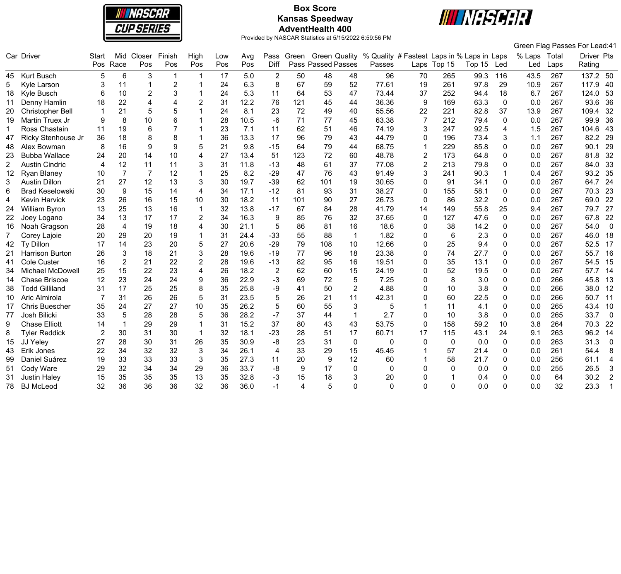

# **Box Score Kansas Speedway AdventHealth 400**



|    |                        |       |                |                         |                |                       |     |      |                |            |                           |                |                                                          |                |              |        |              |              |      | Green Flag Passes For Lead:41   |
|----|------------------------|-------|----------------|-------------------------|----------------|-----------------------|-----|------|----------------|------------|---------------------------|----------------|----------------------------------------------------------|----------------|--------------|--------|--------------|--------------|------|---------------------------------|
|    | Car Driver             | Start |                | Mid Closer              | Finish         | High                  | Low | Avg  |                | Pass Green |                           |                | Green Quality % Quality # Fastest Laps in % Laps in Laps |                |              |        |              | % Laps Total |      | Driver Pts                      |
|    |                        | Pos   | Race           | Pos                     | Pos            | Pos                   | Pos | Pos  | Diff           |            | <b>Pass Passed Passes</b> |                | Passes                                                   |                | Laps Top 15  | Top 15 | Led          | Led          | Laps | Rating                          |
| 45 | <b>Kurt Busch</b>      | 5     | 6              | 3                       | -1             | $\mathbf 1$           | 17  | 5.0  | 2              | 50         | 48                        | 48             | 96                                                       | 70             | 265          | 99.3   | 116          | 43.5         | 267  | 137.2 50                        |
| 5  | Kyle Larson            | 3     | 11             | $\overline{\mathbf{1}}$ | $\overline{2}$ |                       | 24  | 6.3  | 8              | 67         | 59                        | 52             | 77.61                                                    | 19             | 261          | 97.8   | 29           | 10.9         | 267  | 117.9<br>40                     |
| 18 | Kyle Busch             | 6     | 10             | $\overline{2}$          | 3              |                       | 24  | 5.3  | 11             | 64         | 53                        | 47             | 73.44                                                    | 37             | 252          | 94.4   | 18           | 6.7          | 267  | 53<br>124.0                     |
| 11 | Denny Hamlin           | 18    | 22             | $\overline{\mathbf{A}}$ | 4              | $\overline{2}$        | 31  | 12.2 | 76             | 121        | 45                        | 44             | 36.36                                                    | 9              | 169          | 63.3   | $\Omega$     | 0.0          | 267  | 93.6<br>36                      |
| 20 | Christopher Bell       |       | 21             | 5                       | 5              | $\blacktriangleleft$  | 24  | 8.1  | 23             | 72         | 49                        | 40             | 55.56                                                    | 22             | 221          | 82.8   | 37           | 13.9         | 267  | 109.4<br>32                     |
| 19 | Martin Truex Jr        | 9     | 8              | 10                      | 6              |                       | 28  | 10.5 | $-6$           | 71         | 77                        | 45             | 63.38                                                    | $\overline{7}$ | 212          | 79.4   | $\mathbf 0$  | 0.0          | 267  | 99.9<br>36                      |
| -1 | Ross Chastain          | 11    | 19             | 6                       |                |                       | 23  | 7.1  | 11             | 62         | 51                        | 46             | 74.19                                                    | 3              | 247          | 92.5   | 4            | 1.5          | 267  | 104.6<br>43                     |
| 47 | Ricky Stenhouse Jr     | 36    | 18             | 8                       | 8              |                       | 36  | 13.3 | 17             | 96         | 79                        | 43             | 44.79                                                    | $\mathbf 0$    | 196          | 73.4   | 3            | 1.1          | 267  | 29<br>82.2                      |
| 48 | Alex Bowman            | 8     | 16             | 9                       | 9              | 5                     | 21  | 9.8  | $-15$          | 64         | 79                        | 44             | 68.75                                                    | $\overline{1}$ | 229          | 85.8   | 0            | 0.0          | 267  | 29<br>90.1                      |
| 23 | <b>Bubba Wallace</b>   | 24    | 20             | 14                      | 10             | 4                     | 27  | 13.4 | 51             | 123        | 72                        | 60             | 48.78                                                    | $\overline{2}$ | 173          | 64.8   | 0            | 0.0          | 267  | 32<br>81.8                      |
| 2  | <b>Austin Cindric</b>  | 4     | 12             | 11                      | 11             | 3                     | 31  | 11.8 | $-13$          | 48         | 61                        | 37             | 77.08                                                    | $\overline{2}$ | 213          | 79.8   | 0            | 0.0          | 267  | 84.0<br>33                      |
| 12 | Ryan Blaney            | 10    | $\overline{7}$ | $\overline{7}$          | 12             |                       | 25  | 8.2  | $-29$          | 47         | 76                        | 43             | 91.49                                                    | 3              | 241          | 90.3   |              | 0.4          | 267  | 93.2<br>35                      |
| 3  | <b>Austin Dillon</b>   | 21    | 27             | 12                      | 13             | 3                     | 30  | 19.7 | $-39$          | 62         | 101                       | 19             | 30.65                                                    | $\Omega$       | 91           | 34.1   | 0            | 0.0          | 267  | 24<br>64.7                      |
| 6  | <b>Brad Keselowski</b> | 30    | 9              | 15                      | 14             | $\overline{4}$        | 34  | 17.1 | $-12$          | 81         | 93                        | 31             | 38.27                                                    | $\mathbf 0$    | 155          | 58.1   | $\Omega$     | 0.0          | 267  | 70.3<br>23                      |
| 4  | <b>Kevin Harvick</b>   | 23    | 26             | 16                      | 15             | 10                    | 30  | 18.2 | 11             | 101        | 90                        | 27             | 26.73                                                    | $\Omega$       | 86           | 32.2   | $\Omega$     | 0.0          | 267  | 22<br>69.0                      |
| 24 | William Byron          | 13    | 25             | 13                      | 16             | $\mathbf{1}$          | 32  | 13.8 | $-17$          | 67         | 84                        | 28             | 41.79                                                    | 14             | 149          | 55.8   | 25           | 9.4          | 267  | 79.7<br>27                      |
| 22 | Joey Logano            | 34    | 13             | 17                      | 17             | $\overline{2}$        | 34  | 16.3 | 9              | 85         | 76                        | 32             | 37.65                                                    | 0              | 127          | 47.6   | 0            | 0.0          | 267  | 22<br>67.8                      |
| 16 | Noah Gragson           | 28    | 4              | 19                      | 18             | 4                     | 30  | 21.1 | 5              | 86         | 81                        | 16             | 18.6                                                     | 0              | 38           | 14.2   | 0            | 0.0          | 267  | 54.0<br>$\overline{\mathbf{0}}$ |
| 7  | Corey Lajoie           | 20    | 29             | 20                      | 19             | 1                     | 31  | 24.4 | $-33$          | 55         | 88                        | $\mathbf{1}$   | 1.82                                                     | $\mathbf{0}$   | 6            | 2.3    | $\Omega$     | 0.0          | 267  | 46.0<br>18                      |
| 42 | Ty Dillon              | 17    | 14             | 23                      | 20             | 5                     | 27  | 20.6 | $-29$          | 79         | 108                       | 10             | 12.66                                                    | $\mathbf 0$    | 25           | 9.4    | 0            | 0.0          | 267  | 52.5<br>17                      |
| 21 | Harrison Burton        | 26    | 3              | 18                      | 21             | 3                     | 28  | 19.6 | $-19$          | 77         | 96                        | 18             | 23.38                                                    | $\Omega$       | 74           | 27.7   | 0            | 0.0          | 267  | 55.7<br>16                      |
| 41 | Cole Custer            | 16    | $\overline{2}$ | 21                      | 22             | $\overline{2}$        | 28  | 19.6 | $-13$          | 82         | 95                        | 16             | 19.51                                                    | $\Omega$       | 35           | 13.1   | 0            | 0.0          | 267  | 54.5<br>15                      |
| 34 | Michael McDowell       | 25    | 15             | 22                      | 23             | $\boldsymbol{\Delta}$ | 26  | 18.2 | $\overline{2}$ | 62         | 60                        | 15             | 24.19                                                    | $\mathbf 0$    | 52           | 19.5   | 0            | 0.0          | 267  | 57.7<br>14                      |
| 14 | <b>Chase Briscoe</b>   | 12    | 23             | 24                      | 24             | 9                     | 36  | 22.9 | $-3$           | 69         | 72                        | 5              | 7.25                                                     | $\mathbf 0$    | 8            | 3.0    | $\Omega$     | 0.0          | 266  | 45.8<br>13                      |
| 38 | <b>Todd Gilliland</b>  | 31    | 17             | 25                      | 25             | 8                     | 35  | 25.8 | -9             | 41         | 50                        | $\overline{2}$ | 4.88                                                     | $\Omega$       | 10           | 3.8    | 0            | 0.0          | 266  | 38.0<br>12                      |
| 10 | Aric Almirola          |       | 31             | 26                      | 26             | 5                     | 31  | 23.5 | 5              | 26         | 21                        | 11             | 42.31                                                    | $\mathbf{0}$   | 60           | 22.5   | 0            | 0.0          | 266  | 50.7<br>11                      |
| 17 | <b>Chris Buescher</b>  | 35    | 24             | 27                      | 27             | 10                    | 35  | 26.2 | 5              | 60         | 55                        | 3              | 5                                                        |                | 11           | 4.1    | 0            | 0.0          | 265  | 43.4<br>10                      |
| 77 | Josh Bilicki           | 33    | 5              | 28                      | 28             | 5                     | 36  | 28.2 | $-7$           | 37         | 44                        | $\mathbf{1}$   | 2.7                                                      | $\mathbf 0$    | 10           | 3.8    | 0            | 0.0          | 265  | $\overline{0}$<br>33.7          |
| 9  | <b>Chase Elliott</b>   | 14    | $\overline{1}$ | 29                      | 29             | 1                     | 31  | 15.2 | 37             | 80         | 43                        | 43             | 53.75                                                    | $\mathbf 0$    | 158          | 59.2   | 10           | 3.8          | 264  | 70.3<br>22                      |
| 8  | <b>Tyler Reddick</b>   | 2     | 30             | 31                      | 30             | $\mathbf 1$           | 32  | 18.1 | $-23$          | 28         | 51                        | 17             | 60.71                                                    | 17             | 115          | 43.1   | 24           | 9.1          | 263  | 96.2<br>14                      |
| 15 | JJ Yeley               | 27    | 28             | 30                      | 31             | 26                    | 35  | 30.9 | -8             | 23         | 31                        | $\mathbf 0$    | 0                                                        | $\mathbf{0}$   | $\mathbf 0$  | 0.0    | $\mathbf{0}$ | 0.0          | 263  | 31.3<br>$\mathbf 0$             |
| 43 | Erik Jones             | 22    | 34             | 32                      | 32             | 3                     | 34  | 26.1 | $\overline{4}$ | 33         | 29                        | 15             | 45.45                                                    |                | 57           | 21.4   | 0            | 0.0          | 261  | 54.4<br>8                       |
| 99 | Daniel Suárez          | 19    | 33             | 33                      | 33             | 3                     | 35  | 27.3 | 11             | 20         | 9                         | 12             | 60                                                       |                | 58           | 21.7   | 0            | 0.0          | 256  | 61.1<br>4                       |
| 51 | Cody Ware              | 29    | 32             | 34                      | 34             | 29                    | 36  | 33.7 | -8             | 9          | 17                        | $\mathbf{0}$   | $\Omega$                                                 | $\Omega$       | $\mathbf{0}$ | 0.0    | 0            | 0.0          | 255  | 26.5<br>$\mathbf{3}$            |
| 31 | <b>Justin Haley</b>    | 15    | 35             | 35                      | 35             | 13                    | 35  | 32.8 | $-3$           | 15         | 18                        | 3              | 20                                                       | $\Omega$       |              | 0.4    | 0            | 0.0          | 64   | 30.2<br>$\overline{2}$          |
| 78 | <b>BJ</b> McLeod       | 32    | 36             | 36                      | 36             | 32                    | 36  | 36.0 | -1             | 4          | 5                         | ∩              | O                                                        | $\Omega$       | $\Omega$     | 0.0    | $\Omega$     | 0.0          | 32   | 23.3                            |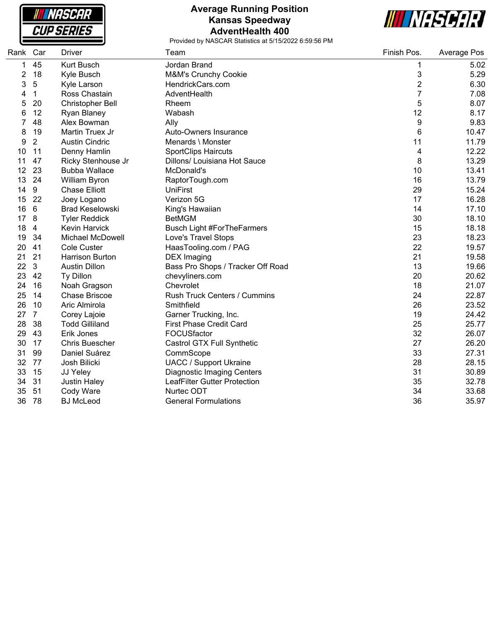**NASCAR CUP SERIES** 

#### **Average Running Position Kansas Speedway AdventHealth 400**



| Rank | Car             | <b>Driver</b>           | Team                              | Finish Pos. | Average Pos |
|------|-----------------|-------------------------|-----------------------------------|-------------|-------------|
| 1    | 45              | Kurt Busch              | Jordan Brand                      | 1           | 5.02        |
| 2    | 18              | Kyle Busch              | M&M's Crunchy Cookie              | 3           | 5.29        |
| 3    | $\overline{5}$  | Kyle Larson             | HendrickCars.com                  | 2           | 6.30        |
| 4    | $\mathbf{1}$    | Ross Chastain           | AdventHealth                      | 7           | 7.08        |
| 5    | 20              | Christopher Bell        | Rheem                             | 5           | 8.07        |
| 6    | 12              | Ryan Blaney             | Wabash                            | 12          | 8.17        |
|      | 48              | Alex Bowman             | Ally                              | 9           | 9.83        |
| 8    | 19              | Martin Truex Jr         | Auto-Owners Insurance             | 6           | 10.47       |
| 9    | $\overline{2}$  | <b>Austin Cindric</b>   | Menards \ Monster                 | 11          | 11.79       |
| 10   | 11              | Denny Hamlin            | <b>SportClips Haircuts</b>        | 4           | 12.22       |
| 11   | 47              | Ricky Stenhouse Jr      | Dillons/ Louisiana Hot Sauce      | 8           | 13.29       |
| 12   | 23              | <b>Bubba Wallace</b>    | McDonald's                        | 10          | 13.41       |
| 13   | 24              | William Byron           | RaptorTough.com                   | 16          | 13.79       |
| 14   | 9               | <b>Chase Elliott</b>    | <b>UniFirst</b>                   | 29          | 15.24       |
| 15   | 22              | Joey Logano             | Verizon 5G                        | 17          | 16.28       |
| 16   | $6\phantom{1}6$ | <b>Brad Keselowski</b>  | King's Hawaiian                   | 14          | 17.10       |
| 17   | 8               | <b>Tyler Reddick</b>    | <b>BetMGM</b>                     | 30          | 18.10       |
| 18   | $\overline{4}$  | Kevin Harvick           | <b>Busch Light #ForTheFarmers</b> | 15          | 18.18       |
| 19   | 34              | <b>Michael McDowell</b> | Love's Travel Stops               | 23          | 18.23       |
| 20   | 41              | <b>Cole Custer</b>      | HaasTooling.com / PAG             | 22          | 19.57       |
| 21   | 21              | <b>Harrison Burton</b>  | <b>DEX</b> Imaging                | 21          | 19.58       |
| 22   | $\mathbf{3}$    | <b>Austin Dillon</b>    | Bass Pro Shops / Tracker Off Road | 13          | 19.66       |
| 23   | 42              | Ty Dillon               | chevyliners.com                   | 20          | 20.62       |
| 24   | 16              | Noah Gragson            | Chevrolet                         | 18          | 21.07       |
| 25   | 14              | <b>Chase Briscoe</b>    | Rush Truck Centers / Cummins      | 24          | 22.87       |
| 26   | 10              | Aric Almirola           | Smithfield                        | 26          | 23.52       |
| 27   | $\overline{7}$  | Corey Lajoie            | Garner Trucking, Inc.             | 19          | 24.42       |
| 28   | 38              | <b>Todd Gilliland</b>   | <b>First Phase Credit Card</b>    | 25          | 25.77       |
| 29   | 43              | Erik Jones              | FOCUSfactor                       | 32          | 26.07       |
| 30   | 17              | <b>Chris Buescher</b>   | Castrol GTX Full Synthetic        | 27          | 26.20       |
| 31   | 99              | Daniel Suárez           | CommScope                         | 33          | 27.31       |
| 32   | 77              | Josh Bilicki            | <b>UACC / Support Ukraine</b>     | 28          | 28.15       |
| 33   | 15              | JJ Yeley                | <b>Diagnostic Imaging Centers</b> | 31          | 30.89       |
| 34   | 31              | <b>Justin Haley</b>     | LeafFilter Gutter Protection      | 35          | 32.78       |
| 35   | 51              | Cody Ware               | Nurtec ODT                        | 34          | 33.68       |
| 36   | 78              | <b>BJ</b> McLeod        | <b>General Formulations</b>       | 36          | 35.97       |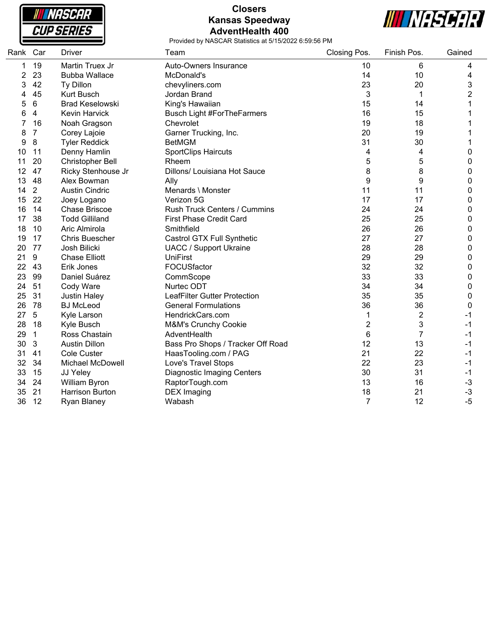

### **Closers Kansas Speedway AdventHealth 400**



| Rank Car |                         | <b>Driver</b>          | Team                              | Closing Pos.   | Finish Pos.    | Gained         |
|----------|-------------------------|------------------------|-----------------------------------|----------------|----------------|----------------|
| 1        | 19                      | Martin Truex Jr        | Auto-Owners Insurance             | 10             | 6              | 4              |
| 2        | 23                      | <b>Bubba Wallace</b>   | McDonald's                        | 14             | 10             | 4              |
| 3        | 42                      | Ty Dillon              | chevyliners.com                   | 23             | 20             | 3              |
| 4        | 45                      | <b>Kurt Busch</b>      | Jordan Brand                      | 3              | 1              | $\overline{2}$ |
| 5        | $\,6\,$                 | <b>Brad Keselowski</b> | King's Hawaiian                   | 15             | 14             | 1              |
| 6        | $\overline{\mathbf{4}}$ | Kevin Harvick          | <b>Busch Light #ForTheFarmers</b> | 16             | 15             | 1              |
|          | 16                      | Noah Gragson           | Chevrolet                         | 19             | 18             | 1              |
| 8        | $\overline{7}$          | Corey Lajoie           | Garner Trucking, Inc.             | 20             | 19             | 1              |
| 9        | 8                       | <b>Tyler Reddick</b>   | <b>BetMGM</b>                     | 31             | 30             | 1              |
| 10       | 11                      | Denny Hamlin           | <b>SportClips Haircuts</b>        | 4              | 4              | 0              |
| 11       | 20                      | Christopher Bell       | Rheem                             | 5              | 5              | 0              |
| 12       | 47                      | Ricky Stenhouse Jr     | Dillons/ Louisiana Hot Sauce      | 8              | 8              | 0              |
| 13       | 48                      | Alex Bowman            | Ally                              | 9              | 9              | 0              |
| 14       | $\overline{2}$          | <b>Austin Cindric</b>  | Menards \ Monster                 | 11             | 11             | 0              |
| 15       | 22                      | Joey Logano            | Verizon 5G                        | 17             | 17             | 0              |
| 16       | 14                      | <b>Chase Briscoe</b>   | Rush Truck Centers / Cummins      | 24             | 24             | 0              |
| 17       | 38                      | <b>Todd Gilliland</b>  | <b>First Phase Credit Card</b>    | 25             | 25             | 0              |
| 18       | 10                      | Aric Almirola          | Smithfield                        | 26             | 26             | 0              |
| 19       | 17                      | <b>Chris Buescher</b>  | Castrol GTX Full Synthetic        | 27             | 27             | 0              |
| 20       | 77                      | Josh Bilicki           | <b>UACC / Support Ukraine</b>     | 28             | 28             | 0              |
| 21       | $\boldsymbol{9}$        | <b>Chase Elliott</b>   | <b>UniFirst</b>                   | 29             | 29             | $\mathbf 0$    |
| 22       | 43                      | Erik Jones             | FOCUSfactor                       | 32             | 32             | 0              |
| 23       | 99                      | Daniel Suárez          | CommScope                         | 33             | 33             | 0              |
| 24       | 51                      | Cody Ware              | Nurtec ODT                        | 34             | 34             | 0              |
| 25       | 31                      | <b>Justin Haley</b>    | LeafFilter Gutter Protection      | 35             | 35             | 0              |
| 26       | 78                      | <b>BJ</b> McLeod       | <b>General Formulations</b>       | 36             | 36             | $\mathbf 0$    |
| 27       | $\sqrt{5}$              | Kyle Larson            | HendrickCars.com                  | 1              | $\overline{c}$ | $-1$           |
| 28       | 18                      | Kyle Busch             | M&M's Crunchy Cookie              | $\overline{2}$ | 3              | $-1$           |
| 29       | $\mathbf{1}$            | Ross Chastain          | AdventHealth                      | 6              | $\overline{7}$ | $-1$           |
| 30       | $\mathbf{3}$            | <b>Austin Dillon</b>   | Bass Pro Shops / Tracker Off Road | 12             | 13             | $-1$           |
| 31       | 41                      | Cole Custer            | HaasTooling.com / PAG             | 21             | 22             | $-1$           |
| 32       | 34                      | Michael McDowell       | Love's Travel Stops               | 22             | 23             | $-1$           |
| 33       | 15                      | JJ Yeley               | <b>Diagnostic Imaging Centers</b> | 30             | 31             | $-1$           |
| 34       | 24                      | William Byron          | RaptorTough.com                   | 13             | 16             | $-3$           |
| 35       | 21                      | Harrison Burton        | <b>DEX</b> Imaging                | 18             | 21             | $-3$           |
| 36       | 12                      | Ryan Blaney            | Wabash                            | $\overline{7}$ | 12             | $-5$           |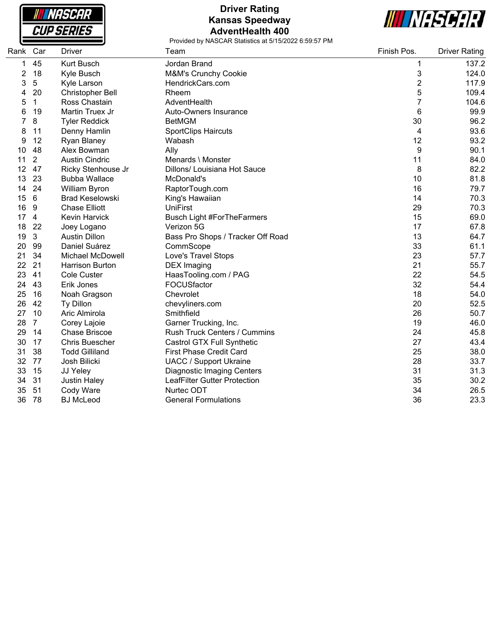

## **Driver Rating Kansas Speedway AdventHealth 400**



| Rank | Car             | Driver                  | Team                                | Finish Pos.             | <b>Driver Rating</b> |
|------|-----------------|-------------------------|-------------------------------------|-------------------------|----------------------|
| 1    | 45              | <b>Kurt Busch</b>       | Jordan Brand                        | 1                       | 137.2                |
| 2    | 18              | Kyle Busch              | M&M's Crunchy Cookie                | 3                       | 124.0                |
| 3    | 5               | Kyle Larson             | HendrickCars.com                    | $\overline{\mathbf{c}}$ | 117.9                |
| 4    | 20              | Christopher Bell        | Rheem                               | 5                       | 109.4                |
| 5    | $\mathbf{1}$    | Ross Chastain           | AdventHealth                        | $\overline{7}$          | 104.6                |
| 6    | 19              | Martin Truex Jr         | Auto-Owners Insurance               | 6                       | 99.9                 |
| 7    | 8               | <b>Tyler Reddick</b>    | <b>BetMGM</b>                       | 30                      | 96.2                 |
| 8    | 11              | Denny Hamlin            | <b>SportClips Haircuts</b>          | 4                       | 93.6                 |
| 9    | 12              | Ryan Blaney             | Wabash                              | 12                      | 93.2                 |
| 10   | 48              | Alex Bowman             | Ally                                | 9                       | 90.1                 |
| 11   | $\overline{2}$  | <b>Austin Cindric</b>   | Menards \ Monster                   | 11                      | 84.0                 |
| 12   | 47              | Ricky Stenhouse Jr      | Dillons/ Louisiana Hot Sauce        | 8                       | 82.2                 |
| 13   | 23              | <b>Bubba Wallace</b>    | McDonald's                          | 10                      | 81.8                 |
| 14   | 24              | William Byron           | RaptorTough.com                     | 16                      | 79.7                 |
| 15   | $6\phantom{1}6$ | <b>Brad Keselowski</b>  | King's Hawaiian                     | 14                      | 70.3                 |
| 16   | 9               | <b>Chase Elliott</b>    | <b>UniFirst</b>                     | 29                      | 70.3                 |
| 17   | $\overline{4}$  | Kevin Harvick           | <b>Busch Light #ForTheFarmers</b>   | 15                      | 69.0                 |
| 18   | 22              | Joey Logano             | Verizon 5G                          | 17                      | 67.8                 |
| 19   | $\mathbf{3}$    | <b>Austin Dillon</b>    | Bass Pro Shops / Tracker Off Road   | 13                      | 64.7                 |
| 20   | 99              | Daniel Suárez           | CommScope                           | 33                      | 61.1                 |
| 21   | 34              | <b>Michael McDowell</b> | Love's Travel Stops                 | 23                      | 57.7                 |
| 22   | 21              | <b>Harrison Burton</b>  | <b>DEX Imaging</b>                  | 21                      | 55.7                 |
| 23   | 41              | <b>Cole Custer</b>      | HaasTooling.com / PAG               | 22                      | 54.5                 |
| 24   | 43              | Erik Jones              | FOCUSfactor                         | 32                      | 54.4                 |
| 25   | 16              | Noah Gragson            | Chevrolet                           | 18                      | 54.0                 |
| 26   | 42              | Ty Dillon               | chevyliners.com                     | 20                      | 52.5                 |
| 27   | 10              | Aric Almirola           | Smithfield                          | 26                      | 50.7                 |
| 28   | $\overline{7}$  | Corey Lajoie            | Garner Trucking, Inc.               | 19                      | 46.0                 |
| 29   | 14              | <b>Chase Briscoe</b>    | <b>Rush Truck Centers / Cummins</b> | 24                      | 45.8                 |
| 30   | 17              | <b>Chris Buescher</b>   | Castrol GTX Full Synthetic          | 27                      | 43.4                 |
| 31   | 38              | <b>Todd Gilliland</b>   | <b>First Phase Credit Card</b>      | 25                      | 38.0                 |
| 32   | 77              | Josh Bilicki            | <b>UACC / Support Ukraine</b>       | 28                      | 33.7                 |
| 33   | 15              | JJ Yeley                | <b>Diagnostic Imaging Centers</b>   | 31                      | 31.3                 |
| 34   | 31              | <b>Justin Haley</b>     | <b>LeafFilter Gutter Protection</b> | 35                      | 30.2                 |
| 35   | 51              | Cody Ware               | Nurtec ODT                          | 34                      | 26.5                 |
| 36   | 78              | <b>BJ</b> McLeod        | <b>General Formulations</b>         | 36                      | 23.3                 |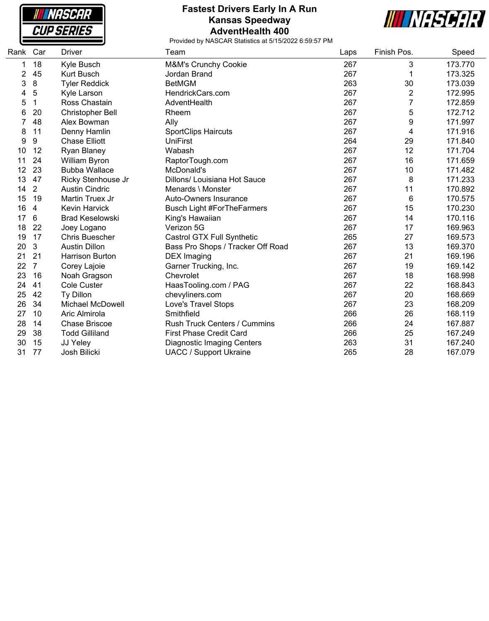**NASCAR CUP SERIES** 

#### **Fastest Drivers Early In A Run Kansas Speedway AdventHealth 400**



| Rank | Car            | <b>Driver</b>           | Team                                | Laps | Finish Pos.    | Speed   |
|------|----------------|-------------------------|-------------------------------------|------|----------------|---------|
| 1    | 18             | Kyle Busch              | M&M's Crunchy Cookie                | 267  | 3              | 173.770 |
| 2    | 45             | Kurt Busch              | Jordan Brand                        | 267  | 1              | 173.325 |
| 3    | 8              | <b>Tyler Reddick</b>    | <b>BetMGM</b>                       | 263  | 30             | 173.039 |
| 4    | 5              | Kyle Larson             | HendrickCars.com                    | 267  | $\overline{2}$ | 172.995 |
| 5    | 1              | Ross Chastain           | AdventHealth                        | 267  | 7              | 172.859 |
| 6    | 20             | Christopher Bell        | Rheem                               | 267  | 5              | 172.712 |
| 7    | 48             | Alex Bowman             | Ally                                | 267  | 9              | 171.997 |
| 8    | 11             | Denny Hamlin            | <b>SportClips Haircuts</b>          | 267  | 4              | 171.916 |
| 9    | 9              | <b>Chase Elliott</b>    | <b>UniFirst</b>                     | 264  | 29             | 171.840 |
| 10   | 12             | Ryan Blaney             | Wabash                              | 267  | 12             | 171.704 |
| 11   | 24             | William Byron           | RaptorTough.com                     | 267  | 16             | 171.659 |
| 12   | 23             | <b>Bubba Wallace</b>    | McDonald's                          | 267  | 10             | 171.482 |
| 13   | 47             | Ricky Stenhouse Jr      | Dillons/ Louisiana Hot Sauce        | 267  | 8              | 171.233 |
| 14   | $\overline{2}$ | <b>Austin Cindric</b>   | Menards \ Monster                   | 267  | 11             | 170.892 |
| 15   | 19             | Martin Truex Jr         | Auto-Owners Insurance               | 267  | 6              | 170.575 |
| 16   | 4              | <b>Kevin Harvick</b>    | <b>Busch Light #ForTheFarmers</b>   | 267  | 15             | 170.230 |
| 17   | 6              | <b>Brad Keselowski</b>  | King's Hawaiian                     | 267  | 14             | 170.116 |
| 18   | 22             | Joey Logano             | Verizon 5G                          | 267  | 17             | 169.963 |
| 19   | 17             | <b>Chris Buescher</b>   | Castrol GTX Full Synthetic          | 265  | 27             | 169.573 |
| 20   | $\mathbf{3}$   | <b>Austin Dillon</b>    | Bass Pro Shops / Tracker Off Road   | 267  | 13             | 169.370 |
| 21   | 21             | <b>Harrison Burton</b>  | <b>DEX Imaging</b>                  | 267  | 21             | 169.196 |
| 22   | $\overline{7}$ | Corey Lajoie            | Garner Trucking, Inc.               | 267  | 19             | 169.142 |
| 23   | 16             | Noah Gragson            | Chevrolet                           | 267  | 18             | 168.998 |
| 24   | 41             | <b>Cole Custer</b>      | HaasTooling.com / PAG               | 267  | 22             | 168.843 |
| 25   | 42             | Ty Dillon               | chevyliners.com                     | 267  | 20             | 168.669 |
| 26   | 34             | <b>Michael McDowell</b> | Love's Travel Stops                 | 267  | 23             | 168.209 |
| 27   | 10             | Aric Almirola           | Smithfield                          | 266  | 26             | 168.119 |
| 28   | 14             | <b>Chase Briscoe</b>    | <b>Rush Truck Centers / Cummins</b> | 266  | 24             | 167.887 |
| 29   | 38             | <b>Todd Gilliland</b>   | <b>First Phase Credit Card</b>      | 266  | 25             | 167.249 |
| 30   | 15             | JJ Yeley                | <b>Diagnostic Imaging Centers</b>   | 263  | 31             | 167.240 |
| 31   | 77             | Josh Bilicki            | <b>UACC / Support Ukraine</b>       | 265  | 28             | 167.079 |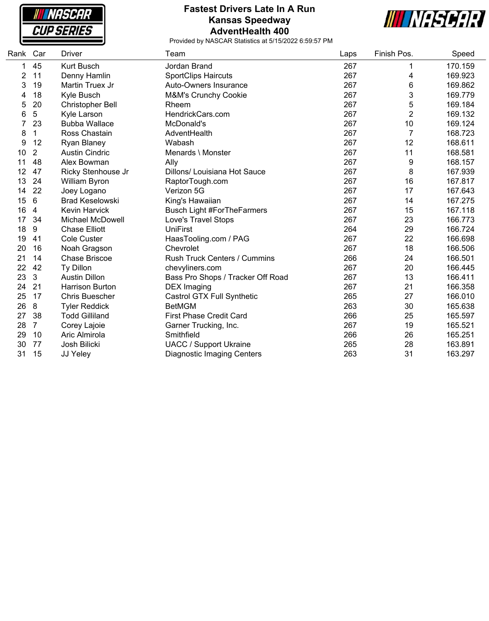**NASCAR CUP SERIES** 

#### **Fastest Drivers Late In A Run Kansas Speedway AdventHealth 400**



| Rank | Car            | <b>Driver</b>           | Team                              | Laps | Finish Pos.    | Speed   |
|------|----------------|-------------------------|-----------------------------------|------|----------------|---------|
| 1    | 45             | <b>Kurt Busch</b>       | Jordan Brand                      | 267  | 1              | 170.159 |
| 2    | 11             | Denny Hamlin            | <b>SportClips Haircuts</b>        | 267  | 4              | 169.923 |
| 3    | 19             | Martin Truex Jr         | Auto-Owners Insurance             | 267  | 6              | 169.862 |
| 4    | 18             | Kyle Busch              | <b>M&amp;M's Crunchy Cookie</b>   | 267  | 3              | 169.779 |
| 5    | 20             | Christopher Bell        | Rheem                             | 267  | 5              | 169.184 |
| 6    | 5              | Kyle Larson             | HendrickCars.com                  | 267  | $\overline{2}$ | 169.132 |
|      | 23             | <b>Bubba Wallace</b>    | McDonald's                        | 267  | 10             | 169.124 |
| 8    | 1              | Ross Chastain           | AdventHealth                      | 267  | $\overline{7}$ | 168.723 |
| 9    | 12             | <b>Ryan Blaney</b>      | Wabash                            | 267  | 12             | 168.611 |
| 10   | $\overline{2}$ | <b>Austin Cindric</b>   | Menards \ Monster                 | 267  | 11             | 168.581 |
| 11   | 48             | Alex Bowman             | Ally                              | 267  | 9              | 168.157 |
| 12   | 47             | Ricky Stenhouse Jr      | Dillons/ Louisiana Hot Sauce      | 267  | 8              | 167.939 |
| 13   | 24             | William Byron           | RaptorTough.com                   | 267  | 16             | 167.817 |
| 14   | 22             | Joey Logano             | Verizon 5G                        | 267  | 17             | 167.643 |
| 15   | 6              | <b>Brad Keselowski</b>  | King's Hawaiian                   | 267  | 14             | 167.275 |
| 16   | 4              | Kevin Harvick           | <b>Busch Light #ForTheFarmers</b> | 267  | 15             | 167.118 |
| 17   | 34             | <b>Michael McDowell</b> | Love's Travel Stops               | 267  | 23             | 166.773 |
| 18   | 9              | <b>Chase Elliott</b>    | <b>UniFirst</b>                   | 264  | 29             | 166.724 |
| 19   | 41             | <b>Cole Custer</b>      | HaasTooling.com / PAG             | 267  | 22             | 166.698 |
| 20   | 16             | Noah Gragson            | Chevrolet                         | 267  | 18             | 166.506 |
| 21   | 14             | <b>Chase Briscoe</b>    | Rush Truck Centers / Cummins      | 266  | 24             | 166.501 |
| 22   | 42             | Ty Dillon               | chevyliners.com                   | 267  | 20             | 166.445 |
| 23   | 3              | <b>Austin Dillon</b>    | Bass Pro Shops / Tracker Off Road | 267  | 13             | 166.411 |
| 24   | 21             | <b>Harrison Burton</b>  | <b>DEX</b> Imaging                | 267  | 21             | 166.358 |
| 25   | 17             | <b>Chris Buescher</b>   | Castrol GTX Full Synthetic        | 265  | 27             | 166.010 |
| 26   | 8              | <b>Tyler Reddick</b>    | <b>BetMGM</b>                     | 263  | 30             | 165.638 |
| 27   | 38             | <b>Todd Gilliland</b>   | <b>First Phase Credit Card</b>    | 266  | 25             | 165.597 |
| 28   | $\overline{7}$ | Corey Lajoie            | Garner Trucking, Inc.             | 267  | 19             | 165.521 |
| 29   | 10             | Aric Almirola           | Smithfield                        | 266  | 26             | 165.251 |
| 30   | 77             | Josh Bilicki            | <b>UACC / Support Ukraine</b>     | 265  | 28             | 163.891 |
| 31   | 15             | JJ Yeley                | <b>Diagnostic Imaging Centers</b> | 263  | 31             | 163.297 |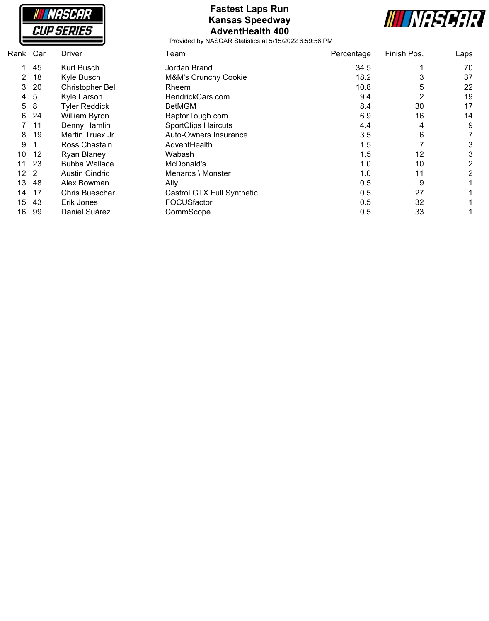

### **Fastest Laps Run Kansas Speedway AdventHealth 400**



| Rank Car        |     | <b>Driver</b>           | Team                       | Percentage | Finish Pos.    | Laps |
|-----------------|-----|-------------------------|----------------------------|------------|----------------|------|
| 1.              | 45  | Kurt Busch              | Jordan Brand               | 34.5       |                | 70   |
| $\overline{2}$  | 18  | Kyle Busch              | M&M's Crunchy Cookie       | 18.2       | 3              | 37   |
| 3               | 20  | <b>Christopher Bell</b> | Rheem                      | 10.8       | 5              | 22   |
| 4               | 5   | Kyle Larson             | HendrickCars.com           | 9.4        | $\overline{2}$ | 19   |
| 5               | 8   | <b>Tyler Reddick</b>    | <b>BetMGM</b>              | 8.4        | 30             | 17   |
| 6               | 24  | William Byron           | RaptorTough.com            | 6.9        | 16             | 14   |
|                 | 11  | Denny Hamlin            | <b>SportClips Haircuts</b> | 4.4        | 4              | 9    |
| 8               | 19  | Martin Truex Jr         | Auto-Owners Insurance      | 3.5        | 6              |      |
| 9               |     | Ross Chastain           | AdventHealth               | 1.5        |                | 3    |
| 10              | 12  | Ryan Blaney             | Wabash                     | 1.5        | 12             | 3    |
| 11              | 23  | <b>Bubba Wallace</b>    | McDonald's                 | 1.0        | 10             | 2    |
| 12 <sub>2</sub> |     | <b>Austin Cindric</b>   | Menards \ Monster          | 1.0        | 11             | ◠    |
| 13              | 48  | Alex Bowman             | Ally                       | 0.5        | 9              |      |
| 14              | 17  | <b>Chris Buescher</b>   | Castrol GTX Full Synthetic | 0.5        | 27             |      |
| 15              | -43 | Erik Jones              | FOCUSfactor                | 0.5        | 32             |      |
| 16              | 99  | Daniel Suárez           | CommScope                  | 0.5        | 33             |      |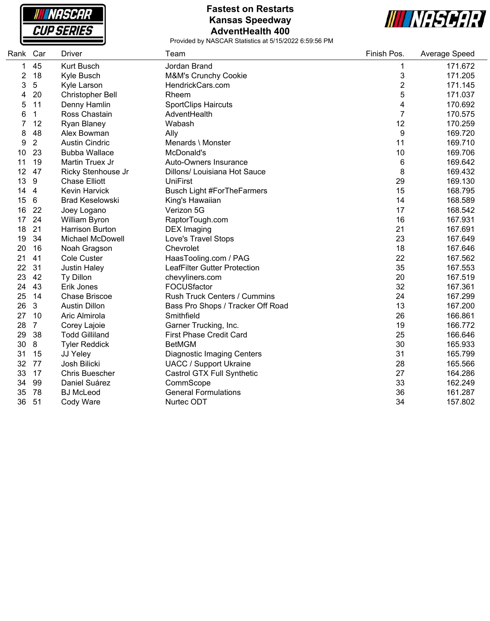

### **Fastest on Restarts Kansas Speedway AdventHealth 400**



| Rank Car |                | <b>Driver</b>           | Team                              | Finish Pos.             | Average Speed |
|----------|----------------|-------------------------|-----------------------------------|-------------------------|---------------|
| 1        | 45             | Kurt Busch              | Jordan Brand                      | 1                       | 171.672       |
| 2        | 18             | Kyle Busch              | M&M's Crunchy Cookie              | 3                       | 171.205       |
| 3        | 5              | Kyle Larson             | HendrickCars.com                  | $\overline{\mathbf{c}}$ | 171.145       |
| 4        | 20             | <b>Christopher Bell</b> | Rheem                             | 5                       | 171.037       |
| 5        | 11             | Denny Hamlin            | <b>SportClips Haircuts</b>        | 4                       | 170.692       |
| 6        | $\mathbf 1$    | Ross Chastain           | AdventHealth                      | $\overline{7}$          | 170.575       |
|          | 12             | Ryan Blaney             | Wabash                            | 12                      | 170.259       |
| 8        | 48             | Alex Bowman             | Ally                              | $\boldsymbol{9}$        | 169.720       |
| 9        | $\overline{2}$ | <b>Austin Cindric</b>   | Menards \ Monster                 | 11                      | 169.710       |
| 10       | 23             | <b>Bubba Wallace</b>    | McDonald's                        | 10                      | 169.706       |
| 11       | 19             | Martin Truex Jr         | Auto-Owners Insurance             | 6                       | 169.642       |
| 12       | 47             | Ricky Stenhouse Jr      | Dillons/ Louisiana Hot Sauce      | 8                       | 169.432       |
| 13       | 9              | <b>Chase Elliott</b>    | <b>UniFirst</b>                   | 29                      | 169.130       |
| 14       | 4              | <b>Kevin Harvick</b>    | <b>Busch Light #ForTheFarmers</b> | 15                      | 168.795       |
| 15       | $\,6\,$        | <b>Brad Keselowski</b>  | King's Hawaiian                   | 14                      | 168.589       |
| 16       | 22             | Joey Logano             | Verizon 5G                        | 17                      | 168.542       |
| 17       | 24             | William Byron           | RaptorTough.com                   | 16                      | 167.931       |
| 18       | 21             | <b>Harrison Burton</b>  | <b>DEX Imaging</b>                | 21                      | 167.691       |
| 19       | 34             | Michael McDowell        | Love's Travel Stops               | 23                      | 167.649       |
| 20       | 16             | Noah Gragson            | Chevrolet                         | 18                      | 167.646       |
| 21       | 41             | <b>Cole Custer</b>      | HaasTooling.com / PAG             | 22                      | 167.562       |
| 22       | 31             | <b>Justin Haley</b>     | LeafFilter Gutter Protection      | 35                      | 167.553       |
| 23       | 42             | Ty Dillon               | chevyliners.com                   | 20                      | 167.519       |
| 24       | 43             | Erik Jones              | FOCUSfactor                       | 32                      | 167.361       |
| 25       | 14             | <b>Chase Briscoe</b>    | Rush Truck Centers / Cummins      | 24                      | 167.299       |
| 26       | $\mathbf{3}$   | <b>Austin Dillon</b>    | Bass Pro Shops / Tracker Off Road | 13                      | 167.200       |
| 27       | 10             | Aric Almirola           | Smithfield                        | 26                      | 166.861       |
| 28       | $\overline{7}$ | Corey Lajoie            | Garner Trucking, Inc.             | 19                      | 166.772       |
| 29       | 38             | <b>Todd Gilliland</b>   | <b>First Phase Credit Card</b>    | 25                      | 166.646       |
| 30       | 8              | <b>Tyler Reddick</b>    | <b>BetMGM</b>                     | 30                      | 165.933       |
| 31       | 15             | JJ Yeley                | <b>Diagnostic Imaging Centers</b> | 31                      | 165.799       |
| 32       | 77             | Josh Bilicki            | <b>UACC / Support Ukraine</b>     | 28                      | 165.566       |
| 33       | 17             | <b>Chris Buescher</b>   | Castrol GTX Full Synthetic        | 27                      | 164.286       |
| 34       | 99             | Daniel Suárez           | CommScope                         | 33                      | 162.249       |
| 35       | 78             | <b>BJ</b> McLeod        | <b>General Formulations</b>       | 36                      | 161.287       |
| 36       | 51             | Cody Ware               | Nurtec ODT                        | 34                      | 157.802       |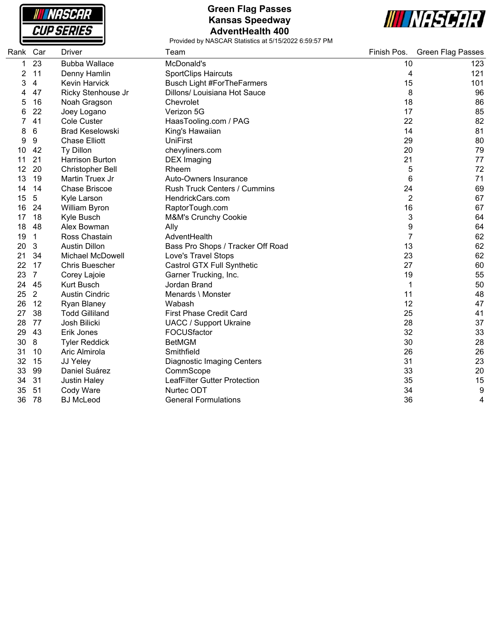

### **Green Flag Passes Kansas Speedway AdventHealth 400**



| Rank Car |                | Driver                  | Team                              | Finish Pos.    | <b>Green Flag Passes</b> |
|----------|----------------|-------------------------|-----------------------------------|----------------|--------------------------|
| 1        | 23             | <b>Bubba Wallace</b>    | McDonald's                        | 10             | 123                      |
| 2        | 11             | Denny Hamlin            | <b>SportClips Haircuts</b>        | 4              | 121                      |
| 3        | 4              | <b>Kevin Harvick</b>    | <b>Busch Light #ForTheFarmers</b> | 15             | 101                      |
|          | 47             | Ricky Stenhouse Jr      | Dillons/ Louisiana Hot Sauce      | 8              | 96                       |
| 5        | 16             | Noah Gragson            | Chevrolet                         | 18             | 86                       |
| 6        | 22             | Joey Logano             | Verizon 5G                        | 17             | 85                       |
|          | 41             | <b>Cole Custer</b>      | HaasTooling.com / PAG             | 22             | 82                       |
| 8        | 6              | <b>Brad Keselowski</b>  | King's Hawaiian                   | 14             | 81                       |
| 9        | 9              | <b>Chase Elliott</b>    | <b>UniFirst</b>                   | 29             | 80                       |
| 10       | 42             | Ty Dillon               | chevyliners.com                   | 20             | 79                       |
| 11       | 21             | <b>Harrison Burton</b>  | <b>DEX</b> Imaging                | 21             | 77                       |
| 12       | 20             | <b>Christopher Bell</b> | Rheem                             | 5              | 72                       |
| 13       | 19             | Martin Truex Jr         | Auto-Owners Insurance             | 6              | 71                       |
| 14       | 14             | <b>Chase Briscoe</b>    | Rush Truck Centers / Cummins      | 24             | 69                       |
| 15       | 5              | Kyle Larson             | HendrickCars.com                  | $\overline{2}$ | 67                       |
| 16       | 24             | William Byron           | RaptorTough.com                   | 16             | 67                       |
| 17       | 18             | Kyle Busch              | M&M's Crunchy Cookie              | 3              | 64                       |
| 18       | 48             | Alex Bowman             | Ally                              | 9              | 64                       |
| 19       | $\mathbf 1$    | Ross Chastain           | AdventHealth                      | $\overline{7}$ | 62                       |
| 20       | 3              | <b>Austin Dillon</b>    | Bass Pro Shops / Tracker Off Road | 13             | 62                       |
| 21       | 34             | Michael McDowell        | Love's Travel Stops               | 23             | 62                       |
| 22       | 17             | <b>Chris Buescher</b>   | Castrol GTX Full Synthetic        | 27             | 60                       |
| 23       | $\overline{7}$ | Corey Lajoie            | Garner Trucking, Inc.             | 19             | 55                       |
| 24       | 45             | <b>Kurt Busch</b>       | Jordan Brand                      | 1              | 50                       |
| 25       | $\overline{2}$ | <b>Austin Cindric</b>   | Menards \ Monster                 | 11             | 48                       |
| 26       | 12             | <b>Ryan Blaney</b>      | Wabash                            | 12             | 47                       |
| 27       | 38             | <b>Todd Gilliland</b>   | <b>First Phase Credit Card</b>    | 25             | 41                       |
| 28       | 77             | Josh Bilicki            | <b>UACC / Support Ukraine</b>     | 28             | 37                       |
| 29       | 43             | Erik Jones              | FOCUSfactor                       | 32             | 33                       |
| 30       | 8              | <b>Tyler Reddick</b>    | <b>BetMGM</b>                     | 30             | 28                       |
| 31       | 10             | Aric Almirola           | Smithfield                        | 26             | 26                       |
| 32       | 15             | JJ Yeley                | <b>Diagnostic Imaging Centers</b> | 31             | 23                       |
| 33       | 99             | Daniel Suárez           | CommScope                         | 33             | 20                       |
| 34       | 31             | <b>Justin Haley</b>     | LeafFilter Gutter Protection      | 35             | 15                       |
| 35       | 51             | Cody Ware               | Nurtec ODT                        | 34             | 9                        |
| 36       | 78             | <b>BJ</b> McLeod        | <b>General Formulations</b>       | 36             | 4                        |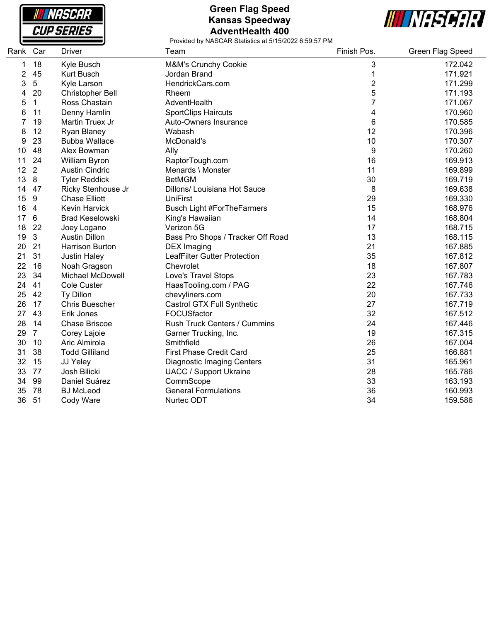

### **Green Flag Speed Kansas Speedway AdventHealth 400**



| Rank Car |                 | Driver                  | Team                                | Finish Pos.    | Green Flag Speed |
|----------|-----------------|-------------------------|-------------------------------------|----------------|------------------|
| 1        | 18              | Kyle Busch              | M&M's Crunchy Cookie                | 3              | 172.042          |
| 2        | 45              | Kurt Busch              | Jordan Brand                        | 1              | 171.921          |
| 3        | 5               | Kyle Larson             | HendrickCars.com                    | $\overline{2}$ | 171.299          |
| 4        | 20              | <b>Christopher Bell</b> | Rheem                               | $\sqrt{5}$     | 171.193          |
| 5        | $\mathbf 1$     | Ross Chastain           | AdventHealth                        | 7              | 171.067          |
| 6        | 11              | Denny Hamlin            | <b>SportClips Haircuts</b>          | 4              | 170.960          |
| 7        | 19              | Martin Truex Jr         | Auto-Owners Insurance               | 6              | 170.585          |
| 8        | 12              | Ryan Blaney             | Wabash                              | 12             | 170.396          |
| 9        | 23              | <b>Bubba Wallace</b>    | McDonald's                          | 10             | 170.307          |
| 10       | 48              | Alex Bowman             | Ally                                | 9              | 170.260          |
| 11       | 24              | William Byron           | RaptorTough.com                     | 16             | 169.913          |
| 12       | $\overline{2}$  | <b>Austin Cindric</b>   | Menards \ Monster                   | 11             | 169.899          |
| 13       | 8               | <b>Tyler Reddick</b>    | <b>BetMGM</b>                       | 30             | 169.719          |
| 14       | 47              | Ricky Stenhouse Jr      | Dillons/ Louisiana Hot Sauce        | 8              | 169.638          |
| 15       | 9               | <b>Chase Elliott</b>    | <b>UniFirst</b>                     | 29             | 169.330          |
| 16       | $\overline{4}$  | Kevin Harvick           | <b>Busch Light #ForTheFarmers</b>   | 15             | 168.976          |
| 17       | $6\phantom{1}6$ | <b>Brad Keselowski</b>  | King's Hawaiian                     | 14             | 168.804          |
| 18       | 22              | Joey Logano             | Verizon 5G                          | 17             | 168.715          |
| 19       | $\mathbf{3}$    | <b>Austin Dillon</b>    | Bass Pro Shops / Tracker Off Road   | 13             | 168.115          |
| 20       | 21              | <b>Harrison Burton</b>  | <b>DEX</b> Imaging                  | 21             | 167.885          |
| 21       | 31              | <b>Justin Haley</b>     | <b>LeafFilter Gutter Protection</b> | 35             | 167.812          |
| 22       | 16              | Noah Gragson            | Chevrolet                           | 18             | 167.807          |
| 23       | 34              | Michael McDowell        | Love's Travel Stops                 | 23             | 167.783          |
| 24       | 41              | <b>Cole Custer</b>      | HaasTooling.com / PAG               | 22             | 167.746          |
| 25       | 42              | Ty Dillon               | chevyliners.com                     | 20             | 167.733          |
| 26       | 17              | <b>Chris Buescher</b>   | Castrol GTX Full Synthetic          | 27             | 167.719          |
| 27       | 43              | Erik Jones              | FOCUSfactor                         | 32             | 167.512          |
| 28       | 14              | <b>Chase Briscoe</b>    | <b>Rush Truck Centers / Cummins</b> | 24             | 167.446          |
| 29       | $\overline{7}$  | Corey Lajoie            | Garner Trucking, Inc.               | 19             | 167.315          |
| 30       | 10              | Aric Almirola           | Smithfield                          | 26             | 167.004          |
| 31       | 38              | <b>Todd Gilliland</b>   | <b>First Phase Credit Card</b>      | 25             | 166.881          |
| 32       | 15              | JJ Yeley                | <b>Diagnostic Imaging Centers</b>   | 31             | 165.961          |
| 33       | 77              | Josh Bilicki            | <b>UACC / Support Ukraine</b>       | 28             | 165.786          |
| 34       | 99              | Daniel Suárez           | CommScope                           | 33             | 163.193          |
| 35       | 78              | <b>BJ</b> McLeod        | <b>General Formulations</b>         | 36             | 160.993          |
| 36       | 51              | Cody Ware               | Nurtec ODT                          | 34             | 159.586          |
|          |                 |                         |                                     |                |                  |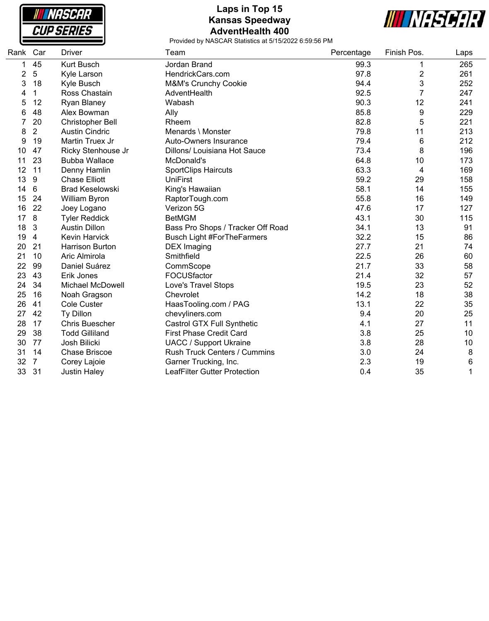

# **Laps in Top 15 Kansas Speedway AdventHealth 400**



| Rank Car |                | <b>Driver</b>           | Team                                | Percentage | Finish Pos.    | Laps |
|----------|----------------|-------------------------|-------------------------------------|------------|----------------|------|
| 1        | 45             | <b>Kurt Busch</b>       | Jordan Brand                        | 99.3       | 1              | 265  |
| 2        | 5              | Kyle Larson             | HendrickCars.com                    | 97.8       | 2              | 261  |
| 3        | 18             | Kyle Busch              | M&M's Crunchy Cookie                | 94.4       | 3              | 252  |
| 4        | 1              | Ross Chastain           | AdventHealth                        | 92.5       | $\overline{7}$ | 247  |
| 5        | 12             | <b>Ryan Blaney</b>      | Wabash                              | 90.3       | 12             | 241  |
| 6        | 48             | Alex Bowman             | Ally                                | 85.8       | 9              | 229  |
| 7        | 20             | <b>Christopher Bell</b> | Rheem                               | 82.8       | 5              | 221  |
| 8        | $\overline{2}$ | <b>Austin Cindric</b>   | Menards \ Monster                   | 79.8       | 11             | 213  |
| 9        | 19             | Martin Truex Jr         | Auto-Owners Insurance               | 79.4       | 6              | 212  |
| 10       | 47             | Ricky Stenhouse Jr      | Dillons/ Louisiana Hot Sauce        | 73.4       | 8              | 196  |
| 11       | 23             | <b>Bubba Wallace</b>    | McDonald's                          | 64.8       | 10             | 173  |
| 12       | 11             | Denny Hamlin            | <b>SportClips Haircuts</b>          | 63.3       | 4              | 169  |
| 13       | 9              | <b>Chase Elliott</b>    | <b>UniFirst</b>                     | 59.2       | 29             | 158  |
| 14       | 6              | <b>Brad Keselowski</b>  | King's Hawaiian                     | 58.1       | 14             | 155  |
| 15       | 24             | <b>William Byron</b>    | RaptorTough.com                     | 55.8       | 16             | 149  |
| 16       | 22             | Joey Logano             | Verizon 5G                          | 47.6       | 17             | 127  |
| 17       | 8              | <b>Tyler Reddick</b>    | <b>BetMGM</b>                       | 43.1       | 30             | 115  |
| 18       | 3              | <b>Austin Dillon</b>    | Bass Pro Shops / Tracker Off Road   | 34.1       | 13             | 91   |
| 19       | 4              | <b>Kevin Harvick</b>    | <b>Busch Light #ForTheFarmers</b>   | 32.2       | 15             | 86   |
| 20       | 21             | <b>Harrison Burton</b>  | <b>DEX</b> Imaging                  | 27.7       | 21             | 74   |
| 21       | 10             | Aric Almirola           | Smithfield                          | 22.5       | 26             | 60   |
| 22       | 99             | Daniel Suárez           | CommScope                           | 21.7       | 33             | 58   |
| 23       | 43             | Erik Jones              | FOCUSfactor                         | 21.4       | 32             | 57   |
| 24       | 34             | Michael McDowell        | Love's Travel Stops                 | 19.5       | 23             | 52   |
| 25       | 16             | Noah Gragson            | Chevrolet                           | 14.2       | 18             | 38   |
| 26       | 41             | <b>Cole Custer</b>      | HaasTooling.com / PAG               | 13.1       | 22             | 35   |
| 27       | 42             | Ty Dillon               | chevyliners.com                     | 9.4        | 20             | 25   |
| 28       | 17             | <b>Chris Buescher</b>   | Castrol GTX Full Synthetic          | 4.1        | 27             | 11   |
| 29       | 38             | <b>Todd Gilliland</b>   | <b>First Phase Credit Card</b>      | 3.8        | 25             | 10   |
| 30       | 77             | Josh Bilicki            | <b>UACC / Support Ukraine</b>       | 3.8        | 28             | 10   |
| 31       | 14             | <b>Chase Briscoe</b>    | <b>Rush Truck Centers / Cummins</b> | 3.0        | 24             | 8    |
| 32       | $\overline{7}$ | Corey Lajoie            | Garner Trucking, Inc.               | 2.3        | 19             | 6    |
| 33       | 31             | <b>Justin Haley</b>     | LeafFilter Gutter Protection        | 0.4        | 35             | 1    |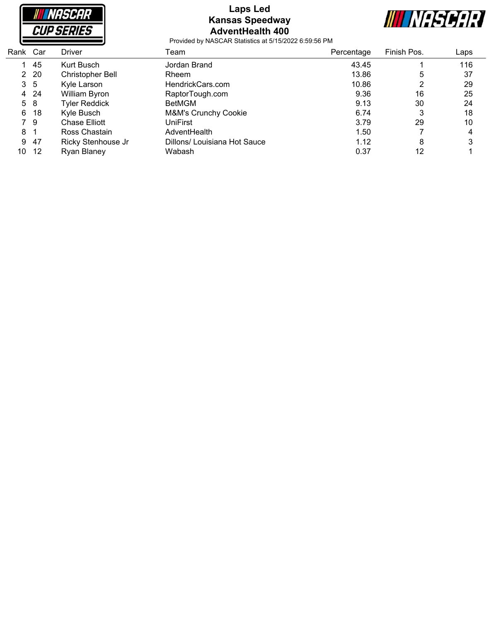

### **Laps Led Kansas Speedway AdventHealth 400**



| Rank           | Car     | <b>Driver</b>        | Team                         | Percentage | Finish Pos. | Laps |
|----------------|---------|----------------------|------------------------------|------------|-------------|------|
|                | 45      | Kurt Busch           | Jordan Brand                 | 43.45      |             | 116  |
|                | $2\,20$ | Christopher Bell     | Rheem                        | 13.86      | 5           | 37   |
| 3 <sub>5</sub> |         | Kyle Larson          | HendrickCars.com             | 10.86      | າ           | 29   |
|                | 4 24    | William Byron        | RaptorTough.com              | 9.36       | 16          | 25   |
| 5 8            |         | <b>Tyler Reddick</b> | BetMGM                       | 9.13       | 30          | 24   |
| 6              | 18      | Kyle Busch           | M&M's Crunchy Cookie         | 6.74       | 3           | 18   |
| 79             |         | Chase Elliott        | UniFirst                     | 3.79       | 29          | 10   |
| 8              |         | Ross Chastain        | AdventHealth                 | 1.50       |             | 4    |
| 9              | -47     | Ricky Stenhouse Jr   | Dillons/ Louisiana Hot Sauce | 1.12       | 8           | 3    |
| 10             | -12     | Ryan Blaney          | Wabash                       | 0.37       | 12          |      |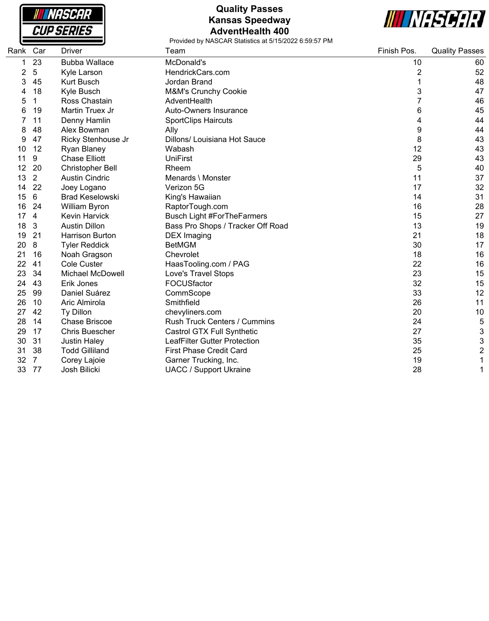

## **Quality Passes Kansas Speedway AdventHealth 400**



| Rank | Car | <b>Driver</b>           | Team                                | Finish Pos.    | <b>Quality Passes</b> |
|------|-----|-------------------------|-------------------------------------|----------------|-----------------------|
| 1    | 23  | <b>Bubba Wallace</b>    | McDonald's                          | 10             | 60                    |
| 2    | 5   | Kyle Larson             | HendrickCars.com                    | $\overline{2}$ | 52                    |
| 3    | 45  | <b>Kurt Busch</b>       | Jordan Brand                        | 1              | 48                    |
|      | 18  | Kyle Busch              | <b>M&amp;M's Crunchy Cookie</b>     | 3              | 47                    |
| 5    | 1   | Ross Chastain           | AdventHealth                        | 7              | 46                    |
| 6    | 19  | Martin Truex Jr         | Auto-Owners Insurance               | 6              | 45                    |
|      | 11  | Denny Hamlin            | <b>SportClips Haircuts</b>          | 4              | 44                    |
| 8    | 48  | Alex Bowman             | Ally                                | 9              | 44                    |
| 9    | 47  | Ricky Stenhouse Jr      | Dillons/ Louisiana Hot Sauce        | 8              | 43                    |
| 10   | 12  | Ryan Blaney             | Wabash                              | 12             | 43                    |
| 11   | 9   | <b>Chase Elliott</b>    | <b>UniFirst</b>                     | 29             | 43                    |
| 12   | 20  | <b>Christopher Bell</b> | Rheem                               | 5              | 40                    |
| 13   | 2   | <b>Austin Cindric</b>   | Menards \ Monster                   | 11             | 37                    |
| 14   | 22  | Joey Logano             | Verizon 5G                          | 17             | 32                    |
| 15   | 6   | <b>Brad Keselowski</b>  | King's Hawaiian                     | 14             | 31                    |
| 16   | 24  | <b>William Byron</b>    | RaptorTough.com                     | 16             | 28                    |
| 17   | 4   | <b>Kevin Harvick</b>    | <b>Busch Light #ForTheFarmers</b>   | 15             | 27                    |
| 18   | 3   | <b>Austin Dillon</b>    | Bass Pro Shops / Tracker Off Road   | 13             | 19                    |
| 19   | 21  | <b>Harrison Burton</b>  | <b>DEX</b> Imaging                  | 21             | 18                    |
| 20   | 8   | <b>Tyler Reddick</b>    | <b>BetMGM</b>                       | 30             | 17                    |
| 21   | 16  | Noah Gragson            | Chevrolet                           | 18             | 16                    |
| 22   | 41  | <b>Cole Custer</b>      | HaasTooling.com / PAG               | 22             | 16                    |
| 23   | 34  | <b>Michael McDowell</b> | Love's Travel Stops                 | 23             | 15                    |
| 24   | 43  | Erik Jones              | FOCUSfactor                         | 32             | 15                    |
| 25   | 99  | Daniel Suárez           | CommScope                           | 33             | 12                    |
| 26   | 10  | Aric Almirola           | Smithfield                          | 26             | 11                    |
| 27   | 42  | Ty Dillon               | chevyliners.com                     | 20             | 10                    |
| 28   | 14  | <b>Chase Briscoe</b>    | Rush Truck Centers / Cummins        | 24             | 5                     |
| 29   | 17  | <b>Chris Buescher</b>   | Castrol GTX Full Synthetic          | 27             | 3                     |
| 30   | 31  | <b>Justin Haley</b>     | <b>LeafFilter Gutter Protection</b> | 35             | 3                     |
| 31   | 38  | <b>Todd Gilliland</b>   | <b>First Phase Credit Card</b>      | 25             | $\overline{c}$        |
| 32   | 7   | Corey Lajoie            | Garner Trucking, Inc.               | 19             |                       |
| 33   | -77 | Josh Bilicki            | <b>UACC / Support Ukraine</b>       | 28             |                       |